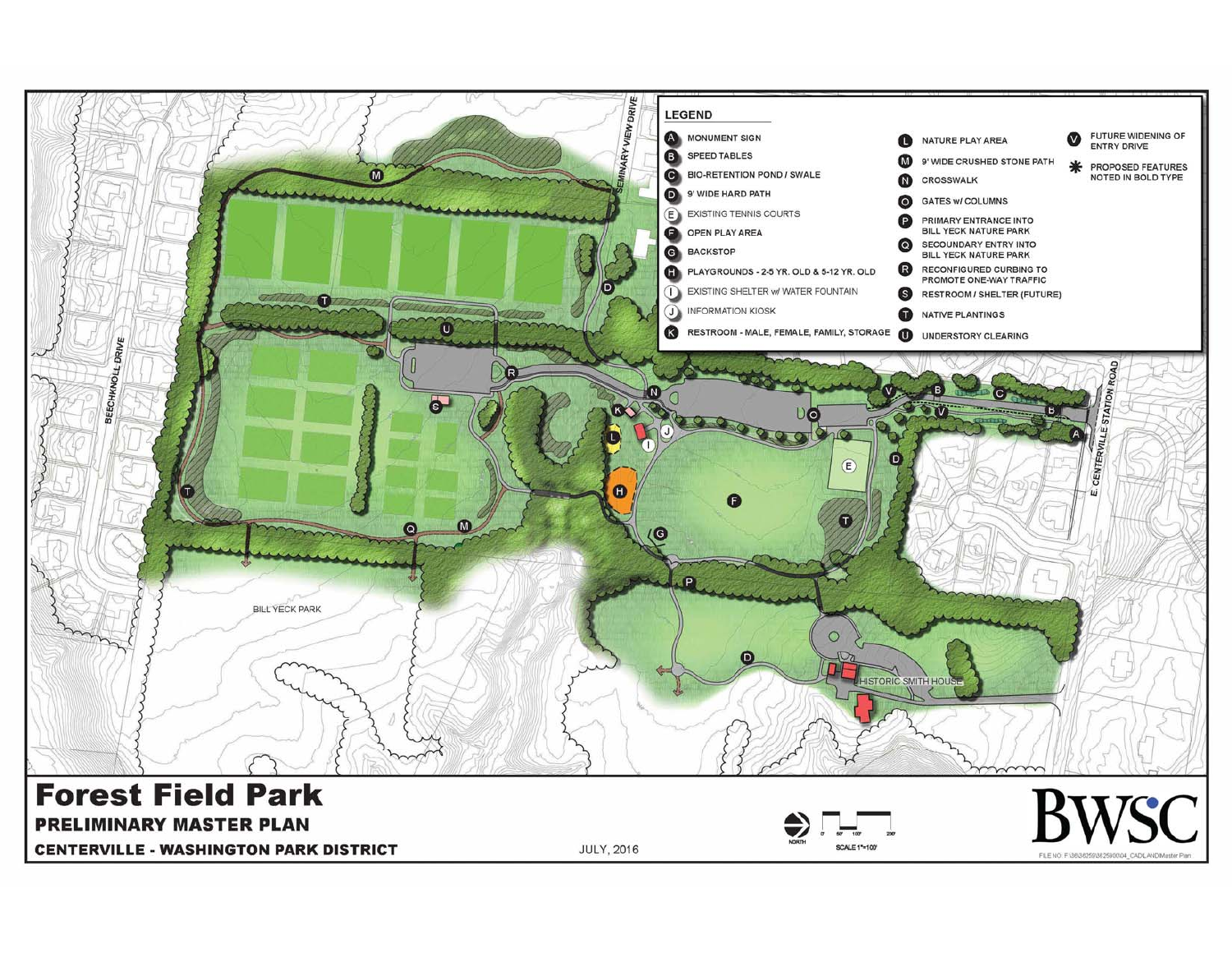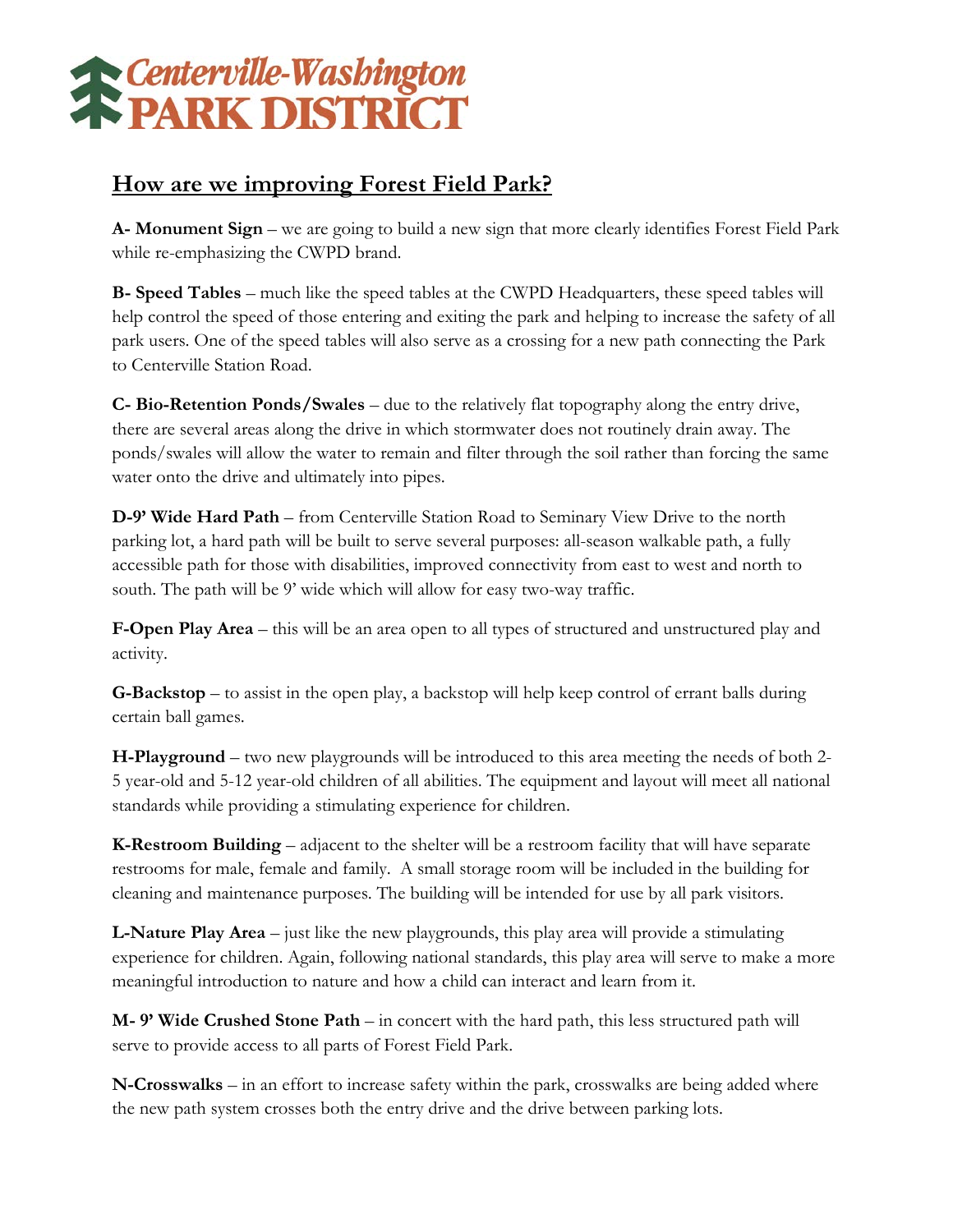

## **How are we improving Forest Field Park?**

**A- Monument Sign** – we are going to build a new sign that more clearly identifies Forest Field Park while re-emphasizing the CWPD brand.

**B- Speed Tables** – much like the speed tables at the CWPD Headquarters, these speed tables will help control the speed of those entering and exiting the park and helping to increase the safety of all park users. One of the speed tables will also serve as a crossing for a new path connecting the Park to Centerville Station Road.

**C- Bio-Retention Ponds/Swales** – due to the relatively flat topography along the entry drive, there are several areas along the drive in which stormwater does not routinely drain away. The ponds/swales will allow the water to remain and filter through the soil rather than forcing the same water onto the drive and ultimately into pipes.

**D-9' Wide Hard Path** – from Centerville Station Road to Seminary View Drive to the north parking lot, a hard path will be built to serve several purposes: all-season walkable path, a fully accessible path for those with disabilities, improved connectivity from east to west and north to south. The path will be 9' wide which will allow for easy two-way traffic.

**F-Open Play Area** – this will be an area open to all types of structured and unstructured play and activity.

**G-Backstop** – to assist in the open play, a backstop will help keep control of errant balls during certain ball games.

**H-Playground** – two new playgrounds will be introduced to this area meeting the needs of both 2- 5 year-old and 5-12 year-old children of all abilities. The equipment and layout will meet all national standards while providing a stimulating experience for children.

**K-Restroom Building** – adjacent to the shelter will be a restroom facility that will have separate restrooms for male, female and family. A small storage room will be included in the building for cleaning and maintenance purposes. The building will be intended for use by all park visitors.

**L-Nature Play Area** – just like the new playgrounds, this play area will provide a stimulating experience for children. Again, following national standards, this play area will serve to make a more meaningful introduction to nature and how a child can interact and learn from it.

**M- 9' Wide Crushed Stone Path** – in concert with the hard path, this less structured path will serve to provide access to all parts of Forest Field Park.

**N-Crosswalks** – in an effort to increase safety within the park, crosswalks are being added where the new path system crosses both the entry drive and the drive between parking lots.